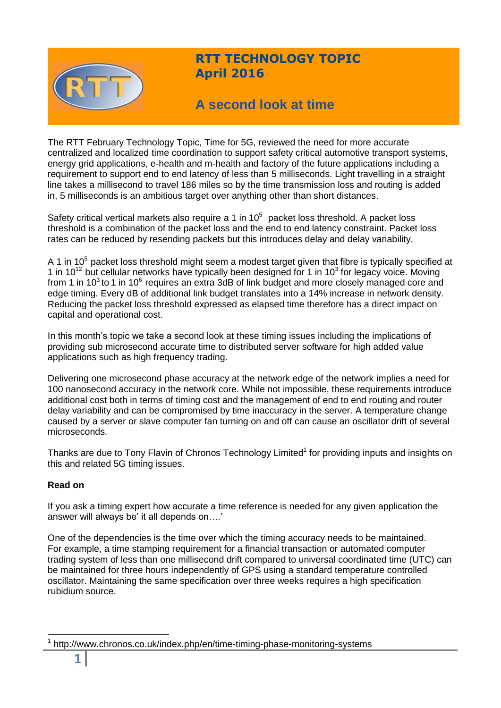

# **RTT TECHNOLOGY TOPIC April 2016**

# **A second look at time**

The RTT February Technology Topic, Time for 5G, reviewed the need for more accurate centralized and localized time coordination to support safety critical automotive transport systems, energy grid applications, e-health and m-health and factory of the future applications including a requirement to support end to end latency of less than 5 milliseconds. Light travelling in a straight line takes a millisecond to travel 186 miles so by the time transmission loss and routing is added in, 5 milliseconds is an ambitious target over anything other than short distances.

Safety critical vertical markets also require a 1 in  $10^5$  packet loss threshold. A packet loss threshold is a combination of the packet loss and the end to end latency constraint. Packet loss rates can be reduced by resending packets but this introduces delay and delay variability.

A 1 in  $10^5$  packet loss threshold might seem a modest target given that fibre is typically specified at 1 in 10<sup>12</sup> but cellular networks have typically been designed for 1 in 10<sup>3</sup> for legacy voice. Moving from 1 in 10<sup>3</sup> to 1 in 10<sup>6</sup> requires an extra 3dB of link budget and more closely managed core and edge timing. Every dB of additional link budget translates into a 14% increase in network density. Reducing the packet loss threshold expressed as elapsed time therefore has a direct impact on capital and operational cost.

In this month's topic we take a second look at these timing issues including the implications of providing sub microsecond accurate time to distributed server software for high added value applications such as high frequency trading.

Delivering one microsecond phase accuracy at the network edge of the network implies a need for 100 nanosecond accuracy in the network core. While not impossible, these requirements introduce additional cost both in terms of timing cost and the management of end to end routing and router delay variability and can be compromised by time inaccuracy in the server. A temperature change caused by a server or slave computer fan turning on and off can cause an oscillator drift of several microseconds.

Thanks are due to Tony Flavin of Chronos Technology Limited<sup>1</sup> for providing inputs and insights on this and related 5G timing issues.

## **Read on**

If you ask a timing expert how accurate a time reference is needed for any given application the answer will always be' it all depends on….'

One of the dependencies is the time over which the timing accuracy needs to be maintained. For example, a time stamping requirement for a financial transaction or automated computer trading system of less than one millisecond drift compared to universal coordinated time (UTC) can be maintained for three hours independently of GPS using a standard temperature controlled oscillator. Maintaining the same specification over three weeks requires a high specification rubidium source.

 $\overline{a}$ 

<sup>1</sup> http://www.chronos.co.uk/index.php/en/time-timing-phase-monitoring-systems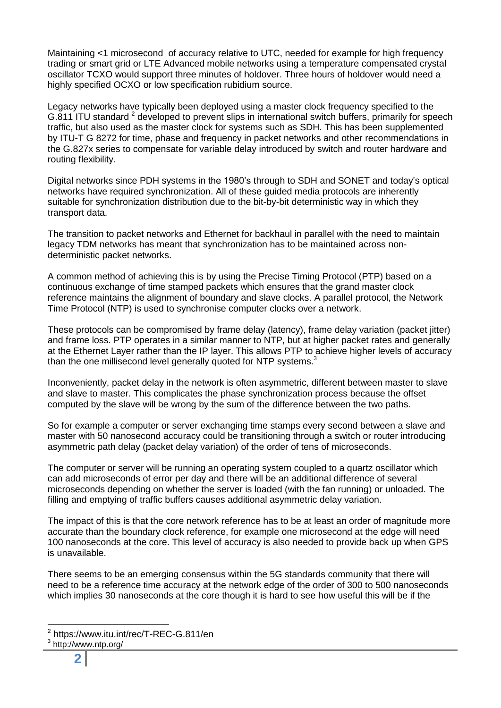Maintaining <1 microsecond of accuracy relative to UTC, needed for example for high frequency trading or smart grid or LTE Advanced mobile networks using a temperature compensated crystal oscillator TCXO would support three minutes of holdover. Three hours of holdover would need a highly specified OCXO or low specification rubidium source.

Legacy networks have typically been deployed using a master clock frequency specified to the G.811 ITU standard  $2$  developed to prevent slips in international switch buffers, primarily for speech traffic, but also used as the master clock for systems such as SDH. This has been supplemented by ITU-T G 8272 for time, phase and frequency in packet networks and other recommendations in the G.827x series to compensate for variable delay introduced by switch and router hardware and routing flexibility.

Digital networks since PDH systems in the 1980's through to SDH and SONET and today's optical networks have required synchronization. All of these guided media protocols are inherently suitable for synchronization distribution due to the bit-by-bit deterministic way in which they transport data.

The transition to packet networks and Ethernet for backhaul in parallel with the need to maintain legacy TDM networks has meant that synchronization has to be maintained across nondeterministic packet networks.

A common method of achieving this is by using the Precise Timing Protocol (PTP) based on a continuous exchange of time stamped packets which ensures that the grand master clock reference maintains the alignment of boundary and slave clocks. A parallel protocol, the Network Time Protocol (NTP) is used to synchronise computer clocks over a network.

These protocols can be compromised by frame delay (latency), frame delay variation (packet jitter) and frame loss. PTP operates in a similar manner to NTP, but at higher packet rates and generally at the Ethernet Layer rather than the IP layer. This allows PTP to achieve higher levels of accuracy than the one millisecond level generally quoted for NTP systems. $3$ 

Inconveniently, packet delay in the network is often asymmetric, different between master to slave and slave to master. This complicates the phase synchronization process because the offset computed by the slave will be wrong by the sum of the difference between the two paths.

So for example a computer or server exchanging time stamps every second between a slave and master with 50 nanosecond accuracy could be transitioning through a switch or router introducing asymmetric path delay (packet delay variation) of the order of tens of microseconds.

The computer or server will be running an operating system coupled to a quartz oscillator which can add microseconds of error per day and there will be an additional difference of several microseconds depending on whether the server is loaded (with the fan running) or unloaded. The filling and emptying of traffic buffers causes additional asymmetric delay variation.

The impact of this is that the core network reference has to be at least an order of magnitude more accurate than the boundary clock reference, for example one microsecond at the edge will need 100 nanoseconds at the core. This level of accuracy is also needed to provide back up when GPS is unavailable.

There seems to be an emerging consensus within the 5G standards community that there will need to be a reference time accuracy at the network edge of the order of 300 to 500 nanoseconds which implies 30 nanoseconds at the core though it is hard to see how useful this will be if the

 $\overline{a}$ 

<sup>2</sup> https://www.itu.int/rec/T-REC-G.811/en

<sup>&</sup>lt;sup>3</sup> http://www.ntp.org/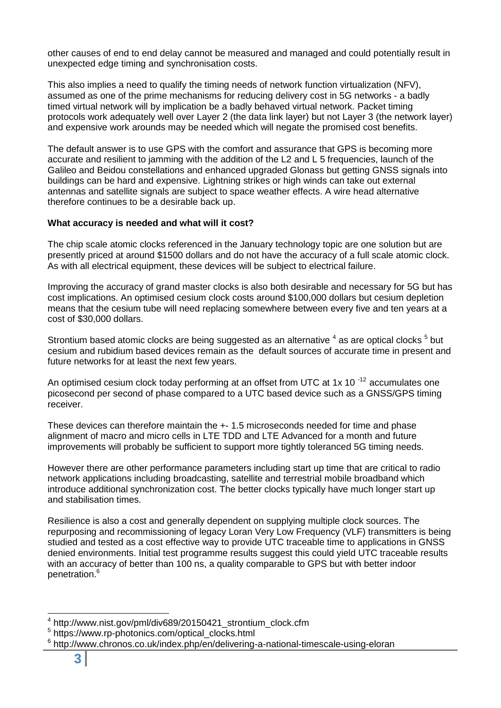other causes of end to end delay cannot be measured and managed and could potentially result in unexpected edge timing and synchronisation costs.

This also implies a need to qualify the timing needs of network function virtualization (NFV), assumed as one of the prime mechanisms for reducing delivery cost in 5G networks - a badly timed virtual network will by implication be a badly behaved virtual network. Packet timing protocols work adequately well over Layer 2 (the data link layer) but not Layer 3 (the network layer) and expensive work arounds may be needed which will negate the promised cost benefits.

The default answer is to use GPS with the comfort and assurance that GPS is becoming more accurate and resilient to jamming with the addition of the L2 and L 5 frequencies, launch of the Galileo and Beidou constellations and enhanced upgraded Glonass but getting GNSS signals into buildings can be hard and expensive. Lightning strikes or high winds can take out external antennas and satellite signals are subject to space weather effects. A wire head alternative therefore continues to be a desirable back up.

### **What accuracy is needed and what will it cost?**

The chip scale atomic clocks referenced in the January technology topic are one solution but are presently priced at around \$1500 dollars and do not have the accuracy of a full scale atomic clock. As with all electrical equipment, these devices will be subject to electrical failure.

Improving the accuracy of grand master clocks is also both desirable and necessary for 5G but has cost implications. An optimised cesium clock costs around \$100,000 dollars but cesium depletion means that the cesium tube will need replacing somewhere between every five and ten years at a cost of \$30,000 dollars.

Strontium based atomic clocks are being suggested as an alternative  $^4$  as are optical clocks  $^5$  but cesium and rubidium based devices remain as the default sources of accurate time in present and future networks for at least the next few years.

An optimised cesium clock today performing at an offset from UTC at 1x 10 $^{-12}$  accumulates one picosecond per second of phase compared to a UTC based device such as a GNSS/GPS timing receiver.

These devices can therefore maintain the +- 1.5 microseconds needed for time and phase alignment of macro and micro cells in LTE TDD and LTE Advanced for a month and future improvements will probably be sufficient to support more tightly toleranced 5G timing needs.

However there are other performance parameters including start up time that are critical to radio network applications including broadcasting, satellite and terrestrial mobile broadband which introduce additional synchronization cost. The better clocks typically have much longer start up and stabilisation times.

Resilience is also a cost and generally dependent on supplying multiple clock sources. The repurposing and recommissioning of legacy Loran Very Low Frequency (VLF) transmitters is being studied and tested as a cost effective way to provide UTC traceable time to applications in GNSS denied environments. Initial test programme results suggest this could yield UTC traceable results with an accuracy of better than 100 ns, a quality comparable to GPS but with better indoor penetration.<sup>6</sup>

 4 http://www.nist.gov/pml/div689/20150421\_strontium\_clock.cfm

<sup>5</sup> https://www.rp-photonics.com/optical\_clocks.html

<sup>6</sup> http://www.chronos.co.uk/index.php/en/delivering-a-national-timescale-using-eloran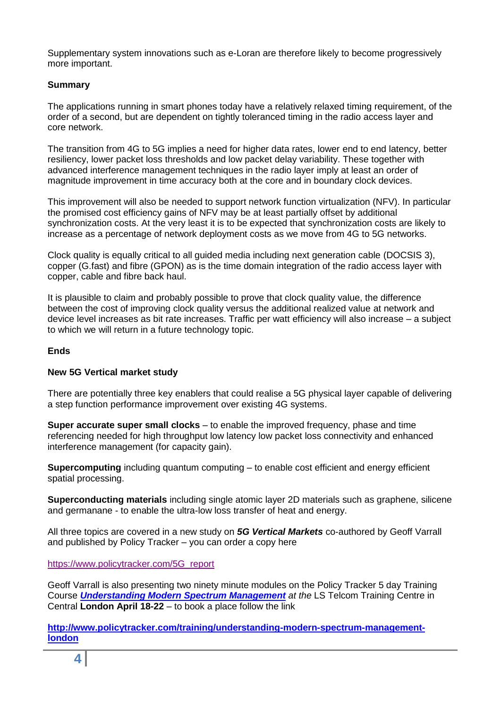Supplementary system innovations such as e-Loran are therefore likely to become progressively more important.

### **Summary**

The applications running in smart phones today have a relatively relaxed timing requirement, of the order of a second, but are dependent on tightly toleranced timing in the radio access layer and core network.

The transition from 4G to 5G implies a need for higher data rates, lower end to end latency, better resiliency, lower packet loss thresholds and low packet delay variability. These together with advanced interference management techniques in the radio layer imply at least an order of magnitude improvement in time accuracy both at the core and in boundary clock devices.

This improvement will also be needed to support network function virtualization (NFV). In particular the promised cost efficiency gains of NFV may be at least partially offset by additional synchronization costs. At the very least it is to be expected that synchronization costs are likely to increase as a percentage of network deployment costs as we move from 4G to 5G networks.

Clock quality is equally critical to all guided media including next generation cable (DOCSIS 3), copper (G.fast) and fibre (GPON) as is the time domain integration of the radio access layer with copper, cable and fibre back haul.

It is plausible to claim and probably possible to prove that clock quality value, the difference between the cost of improving clock quality versus the additional realized value at network and device level increases as bit rate increases. Traffic per watt efficiency will also increase – a subject to which we will return in a future technology topic.

#### **Ends**

## **New 5G Vertical market study**

There are potentially three key enablers that could realise a 5G physical layer capable of delivering a step function performance improvement over existing 4G systems.

**Super accurate super small clocks** – to enable the improved frequency, phase and time referencing needed for high throughput low latency low packet loss connectivity and enhanced interference management (for capacity gain).

**Supercomputing** including quantum computing – to enable cost efficient and energy efficient spatial processing.

**Superconducting materials** including single atomic layer 2D materials such as graphene, silicene and germanane - to enable the ultra-low loss transfer of heat and energy.

All three topics are covered in a new study on *5G Vertical Markets* co-authored by Geoff Varrall and published by Policy Tracker – you can order a copy here

[https://www.policytracker.com/5G\\_report](https://www.policytracker.com/5G_report)

Geoff Varrall is also presenting two ninety minute modules on the Policy Tracker 5 day Training Course *[Understanding Modern Spectrum Management](http://www.policytracker.com/training/understanding-modern-spectrum-management-london) at the* LS Telcom Training Centre in Central **London April 18-22** – to book a place follow the link

**[http://www.policytracker.com/training/understanding-modern-spectrum-management](http://www.policytracker.com/training/understanding-modern-spectrum-management-london)[london](http://www.policytracker.com/training/understanding-modern-spectrum-management-london)**